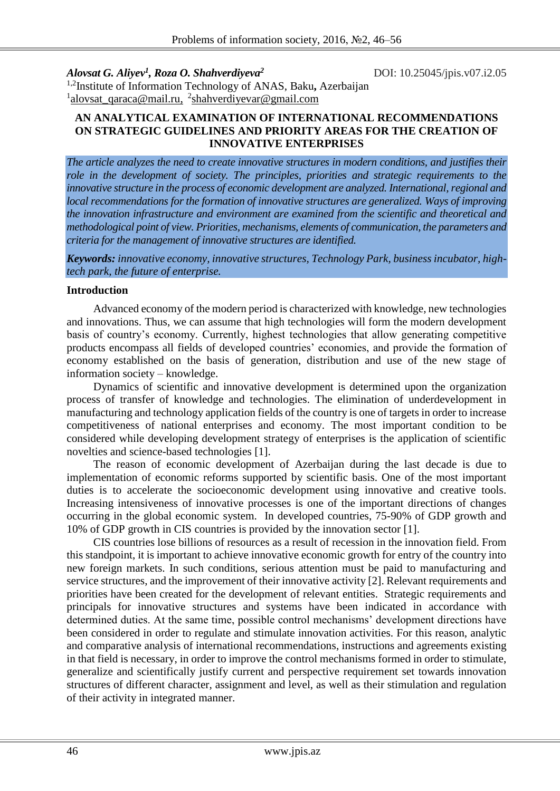*Alovsat G. Aliyev<sup>1</sup> , Roza O. Shahverdiyeva<sup>2</sup>*

DOI: 10.25045/jpis.v07.i2.05

1,2Institute of Information Technology of ANAS, Baku**,** Azerbaijan <sup>1</sup>[alovsat\\_qaraca@mail.ru,](mailto:alovsat_qaraca@mail.ru) <sup>2</sup>shahverdiyevar@gmail.com

### **AN ANALYTICAL EXAMINATION OF INTERNATIONAL RECOMMENDATIONS ON STRATEGIC GUIDELINES AND PRIORITY AREAS FOR THE CREATION OF INNOVATIVE ENTERPRISES**

*The article analyzes the need to create innovative structures in modern conditions, and justifies their role in the development of society. The principles, priorities and strategic requirements to the innovative structure in the process of economic development are analyzed. International, regional and local recommendations for the formation of innovative structures are generalized. Ways of improving the innovation infrastructure and environment are examined from the scientific and theoretical and methodological point of view. Priorities, mechanisms, elements of communication, the parameters and criteria for the management of innovative structures are identified.* 

*Keywords: innovative economy, innovative structures, Technology Park, business incubator, hightech park, the future of enterprise.*

## **Introduction**

Advanced economy of the modern period is characterized with knowledge, new technologies and innovations. Thus, we can assume that high technologies will form the modern development basis of country's economy. Currently, highest technologies that allow generating competitive products encompass all fields of developed countries' economies, and provide the formation of economy established on the basis of generation, distribution and use of the new stage of information society – knowledge.

Dynamics of scientific and innovative development is determined upon the organization process of transfer of knowledge and technologies. The elimination of underdevelopment in manufacturing and technology application fields of the country is one of targets in order to increase competitiveness of national enterprises and economy. The most important condition to be considered while developing development strategy of enterprises is the application of scientific novelties and science-based technologies [1].

The reason of economic development of Azerbaijan during the last decade is due to implementation of economic reforms supported by scientific basis. One of the most important duties is to accelerate the socioeconomic development using innovative and creative tools. Increasing intensiveness of innovative processes is one of the important directions of changes occurring in the global economic system. In developed countries, 75-90% of GDP growth and 10% of GDP growth in CIS countries is provided by the innovation sector [1].

CIS countries lose billions of resources as a result of recession in the innovation field. From this standpoint, it is important to achieve innovative economic growth for entry of the country into new foreign markets. In such conditions, serious attention must be paid to manufacturing and service structures, and the improvement of their innovative activity [2]. Relevant requirements and priorities have been created for the development of relevant entities. Strategic requirements and principals for innovative structures and systems have been indicated in accordance with determined duties. At the same time, possible control mechanisms' development directions have been considered in order to regulate and stimulate innovation activities. For this reason, analytic and comparative analysis of international recommendations, instructions and agreements existing in that field is necessary, in order to improve the control mechanisms formed in order to stimulate, generalize and scientifically justify current and perspective requirement set towards innovation structures of different character, assignment and level, as well as their stimulation and regulation of their activity in integrated manner.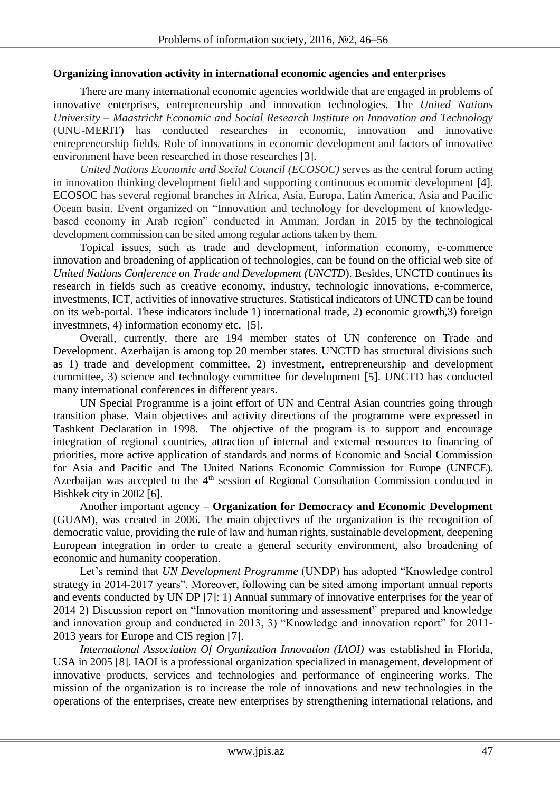#### **Organizing innovation activity in international economic agencies and enterprises**

There are many international economic agencies worldwide that are engaged in problems of innovative enterprises, entrepreneurship and innovation technologies. The *United Nations University – Maastricht Economic and Social Research Institute on Innovation and Technology* (UNU-MERIT) has conducted researches in economic, innovation and innovative entrepreneurship fields. Role of innovations in economic development and factors of innovative environment have been researched in those researches [3].

*United Nations Economic and Social Council (ECOSOC)* serves as the central forum acting in innovation thinking development field and supporting continuous economic development [4]. ECOSOC has several regional branches in Africa, Asia, Europa, Latin America, Asia and Pacific Ocean basin. Event organized on "Innovation and technology for development of knowledgebased economy in Arab region" conducted in Amman, Jordan in 2015 by the technological development commission can be sited among regular actions taken by them.

Topical issues, such as trade and development, information economy, e-commerce innovation and broadening of application of technologies, can be found on the official web site of *United Nations Conference on Trade and Development (UNCTD*). Besides, UNCTD continues its research in fields such as creative economy, industry, technologic innovations, e-commerce, investments, ICT, activities of innovative structures. Statistical indicators of UNCTD can be found on its web-portal. These indicators include 1) international trade, 2) economic growth,3) foreign investmnets, 4) information economy etc. [5].

Overall, currently, there are 194 member states of UN conference on Trade and Development. Azerbaijan is among top 20 member states. UNCTD has structural divisions such as 1) trade and development committee, 2) investment, entrepreneurship and development committee, 3) science and technology committee for development [5]. UNCTD has conducted many international conferences in different years.

UN Special Programme is a joint effort of UN and Central Asian countries going through transition phase. Main objectives and activity directions of the programme were expressed in Tashkent Declaration in 1998. The objective of the program is to support and encourage integration of regional countries, attraction of internal and external resources to financing of priorities, more active application of standards and norms of Economic and Social Commission for Asia and Pacific and The United Nations Economic Commission for Europe (UNECE). Azerbaijan was accepted to the  $4<sup>th</sup>$  session of Regional Consultation Commission conducted in Bishkek city in 2002 [6].

Another important agency – **Organization for Democracy and Economic Development** (GUAM), was created in 2006. The main objectives of the organization is the recognition of democratic value, providing the rule of law and human rights, sustainable development, deepening European integration in order to create a general security environment, also broadening of economic and humanity cooperation.

Let's remind that *UN Development Programme* (UNDP) has adopted "Knowledge control strategy in 2014-2017 years". Moreover, following can be sited among important annual reports and events conducted by UN DP [7]: 1) Annual summary of innovative enterprises for the year of 2014 2) Discussion report on "Innovation monitoring and assessment" prepared and knowledge and innovation group and conducted in 2013, 3) "Knowledge and innovation report" for 2011- 2013 years for Europe and CIS region [7].

*International Association Of Organization Innovation (IAOI)* was established in Florida, USA in 2005 [8]. IAOI is a professional organization specialized in management, development of innovative products, services and technologies and performance of engineering works. The mission of the organization is to increase the role of innovations and new technologies in the operations of the enterprises, create new enterprises by strengthening international relations, and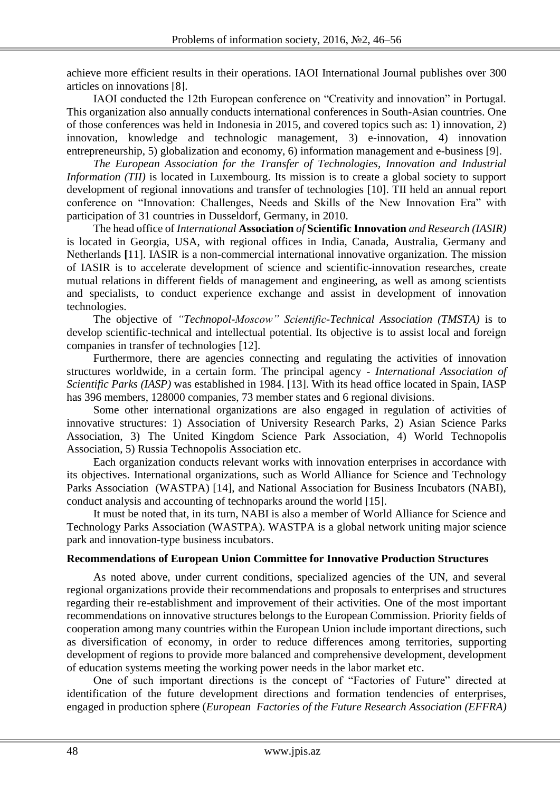achieve more efficient results in their operations. IAOI International Journal publishes over 300 articles on innovations [8].

IAOI conducted the 12th European conference on "Creativity and innovation" in Portugal. This organization also annually conducts international conferences in South-Asian countries. One of those conferences was held in Indonesia in 2015, and covered topics such as: 1) innovation, 2) innovation, knowledge and technologic management, 3) e-innovation, 4) innovation entrepreneurship, 5) globalization and economy, 6) information management and e-business [9].

*The European Association for the Transfer of Technologies, Innovation and Industrial Information (TII)* is located in Luxembourg. Its mission is to create a global society to support development of regional innovations and transfer of technologies [10]. TII held an annual report conference on "Innovation: Challenges, Needs and Skills of the New Innovation Era" with participation of 31 countries in Dusseldorf, Germany, in 2010.

The head office of *International* **Association** *of* **Scientific Innovation** *and Research (IASIR)* is located in Georgia, USA, with regional offices in India, Canada, Australia, Germany and Netherlands **[**11]. IASIR is a non-commercial international innovative organization. The mission of IASIR is to accelerate development of science and scientific-innovation researches, create mutual relations in different fields of management and engineering, as well as among scientists and specialists, to conduct experience exchange and assist in development of innovation technologies.

The objective of *"Technopol-Moscow" Scientific-Technical Association (TMSTA)* is to develop scientific-technical and intellectual potential. Its objective is to assist local and foreign companies in transfer of technologies [12].

Furthermore, there are agencies connecting and regulating the activities of innovation structures worldwide, in a certain form. The principal agency - *International Association of Scientific Parks (IASP)* was established in 1984. [13]. With its head office located in Spain, IASP has 396 members, 128000 companies, 73 member states and 6 regional divisions.

Some other international organizations are also engaged in regulation of activities of innovative structures: 1) Association of University Research Parks, 2) Asian Science Parks Association, 3) The United Kingdom Science Park Association, 4) World Technopolis Association, 5) Russia Technopolis Association etc.

Each organization conducts relevant works with innovation enterprises in accordance with its objectives. International organizations, such as World Alliance for Science and Technology Parks Association (WASTPA) [14], and National Association for Business Incubators (NABI), conduct analysis and accounting of technoparks around the world [15].

It must be noted that, in its turn, NABI is also a member of World Alliance for Science and Technology Parks Association (WASTPA). WASTPA is a global network uniting major science park and innovation-type business incubators.

## **Recommendations of European Union Committee for Innovative Production Structures**

As noted above, under current conditions, specialized agencies of the UN, and several regional organizations provide their recommendations and proposals to enterprises and structures regarding their re-establishment and improvement of their activities. One of the most important recommendations on innovative structures belongs to the European Commission. Priority fields of cooperation among many countries within the European Union include important directions, such as diversification of economy, in order to reduce differences among territories, supporting development of regions to provide more balanced and comprehensive development, development of education systems meeting the working power needs in the labor market etc.

One of such important directions is the concept of "Factories of Future" directed at identification of the future development directions and formation tendencies of enterprises, engaged in production sphere (*European Factories of the Future Research Association (EFFRA)*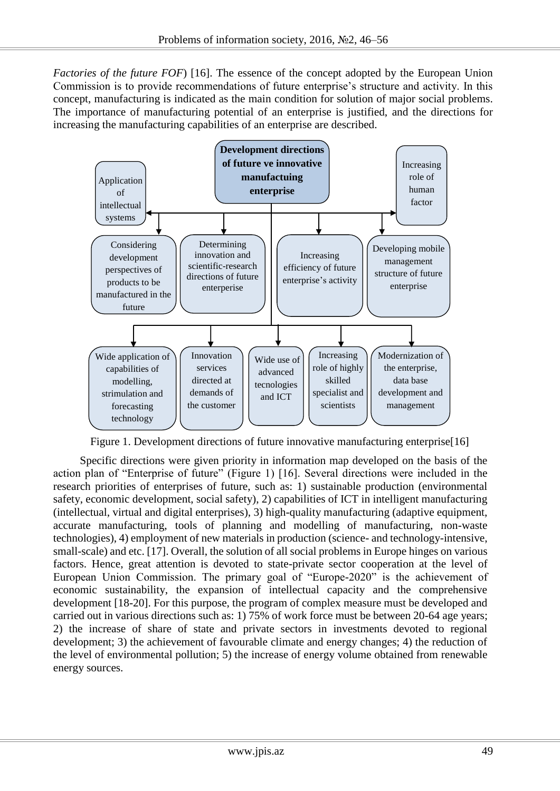*Factories of the future FOF*) [16]. The essence of the concept adopted by the European Union Commission is to provide recommendations of future enterprise's structure and activity. In this concept, manufacturing is indicated as the main condition for solution of major social problems. The importance of manufacturing potential of an enterprise is justified, and the directions for increasing the manufacturing capabilities of an enterprise are described.



Figure 1. Development directions of future innovative manufacturing enterprise[16]

Specific directions were given priority in information map developed on the basis of the action plan of "Enterprise of future" (Figure 1) [16]. Several directions were included in the research priorities of enterprises of future, such as: 1) sustainable production (environmental safety, economic development, social safety), 2) capabilities of ICT in intelligent manufacturing (intellectual, virtual and digital enterprises), 3) high-quality manufacturing (adaptive equipment, accurate manufacturing, tools of planning and modelling of manufacturing, non-waste technologies), 4) employment of new materials in production (science- and technology-intensive, small-scale) and etc. [17]. Overall, the solution of all social problems in Europe hinges on various factors. Hence, great attention is devoted to state-private sector cooperation at the level of European Union Commission. The primary goal of "Europe-2020" is the achievement of economic sustainability, the expansion of intellectual capacity and the comprehensive development [18-20]. For this purpose, the program of complex measure must be developed and carried out in various directions such as: 1) 75% of work force must be between 20-64 age years; 2) the increase of share of state and private sectors in investments devoted to regional development; 3) the achievement of favourable climate and energy changes; 4) the reduction of the level of environmental pollution; 5) the increase of energy volume obtained from renewable energy sources.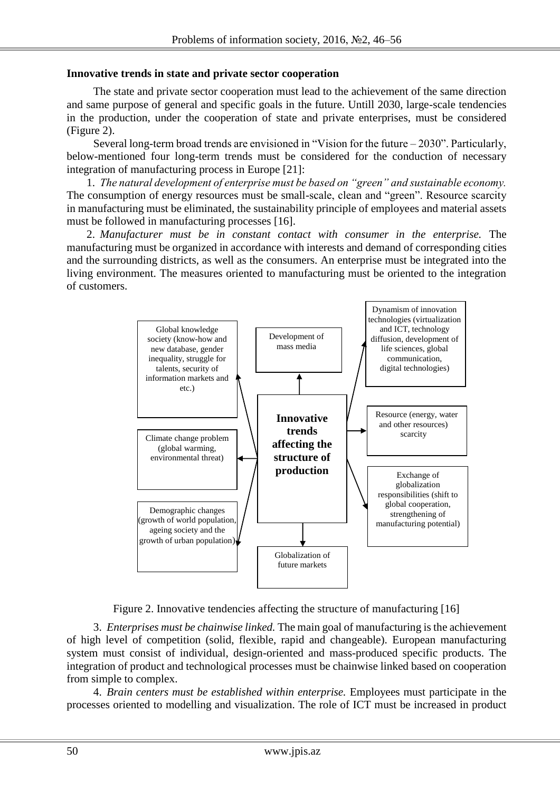### **Innovative trends in state and private sector cooperation**

The state and private sector cooperation must lead to the achievement of the same direction and same purpose of general and specific goals in the future. Untill 2030, large-scale tendencies in the production, under the cooperation of state and private enterprises, must be considered (Figure 2).

Several long-term broad trends are envisioned in "Vision for the future – 2030". Particularly, below-mentioned four long-term trends must be considered for the conduction of necessary integration of manufacturing process in Europe [21]:

1. *The natural development of enterprise must be based on "green" and sustainable economy.* The consumption of energy resources must be small-scale, clean and "green". Resource scarcity in manufacturing must be eliminated, the sustainability principle of employees and material assets must be followed in manufacturing processes [16].

2. *Manufacturer must be in constant contact with consumer in the enterprise.* The manufacturing must be organized in accordance with interests and demand of corresponding cities and the surrounding districts, as well as the consumers. An enterprise must be integrated into the living environment. The measures oriented to manufacturing must be oriented to the integration of customers.



Figure 2. Innovative tendencies affecting the structure of manufacturing [16]

3. *Enterprises must be chainwise linked.* The main goal of manufacturing is the achievement of high level of competition (solid, flexible, rapid and changeable). European manufacturing system must consist of individual, design-oriented and mass-produced specific products. The integration of product and technological processes must be chainwise linked based on cooperation from simple to complex.

4. *Brain centers must be established within enterprise.* Employees must participate in the processes oriented to modelling and visualization. The role of ICT must be increased in product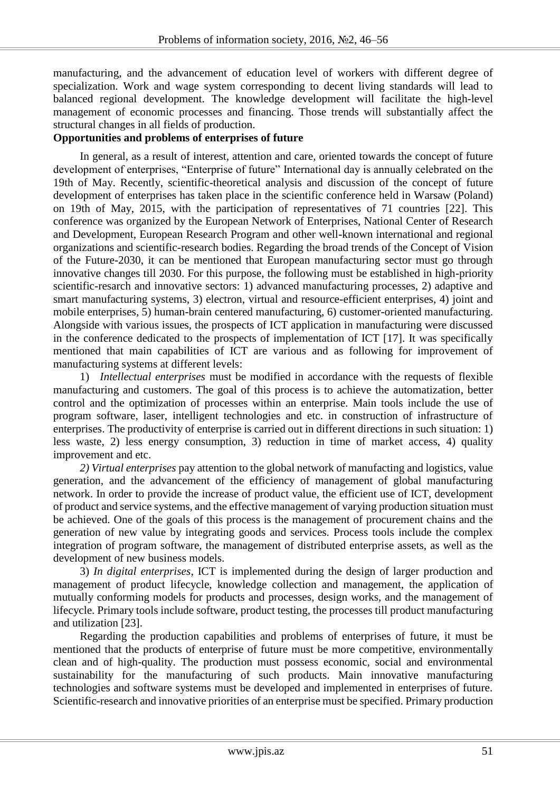manufacturing, and the advancement of education level of workers with different degree of specialization. Work and wage system corresponding to decent living standards will lead to balanced regional development. The knowledge development will facilitate the high-level management of economic processes and financing. Those trends will substantially affect the structural changes in all fields of production.

# **Opportunities and problems of enterprises of future**

In general, as a result of interest, attention and care, oriented towards the concept of future development of enterprises, "Enterprise of future" International day is annually celebrated on the 19th of May. Recently, scientific-theoretical analysis and discussion of the concept of future development of enterprises has taken place in the scientific conference held in Warsaw (Poland) on 19th of May, 2015, with the participation of representatives of 71 countries [22]. This conference was organized by the European Network of Enterprises, National Center of Research and Development, European Research Program and other well-known international and regional organizations and scientific-research bodies. Regarding the broad trends of the Concept of Vision of the Future-2030, it can be mentioned that European manufacturing sector must go through innovative changes till 2030. For this purpose, the following must be established in high-priority scientific-resarch and innovative sectors: 1) advanced manufacturing processes, 2) adaptive and smart manufacturing systems, 3) electron, virtual and resource-efficient enterprises, 4) joint and mobile enterprises, 5) human-brain centered manufacturing, 6) customer-oriented manufacturing. Alongside with various issues, the prospects of ICT application in manufacturing were discussed in the conference dedicated to the prospects of implementation of ICT [17]. It was specifically mentioned that main capabilities of ICT are various and as following for improvement of manufacturing systems at different levels:

1) *Intellectual enterprises* must be modified in accordance with the requests of flexible manufacturing and customers. The goal of this process is to achieve the automatization, better control and the optimization of processes within an enterprise. Main tools include the use of program software, laser, intelligent technologies and etc. in construction of infrastructure of enterprises. The productivity of enterprise is carried out in different directions in such situation: 1) less waste, 2) less energy consumption, 3) reduction in time of market access, 4) quality improvement and etc.

*2) Virtual enterprises* pay attention to the global network of manufacting and logistics, value generation, and the advancement of the efficiency of management of global manufacturing network. In order to provide the increase of product value, the efficient use of ICT, development of product and service systems, and the effective management of varying production situation must be achieved. One of the goals of this process is the management of procurement chains and the generation of new value by integrating goods and services. Process tools include the complex integration of program software, the management of distributed enterprise assets, as well as the development of new business models.

3) *In digital enterprises*, ICT is implemented during the design of larger production and management of product lifecycle, knowledge collection and management, the application of mutually conforming models for products and processes, design works, and the management of lifecycle. Primary tools include software, product testing, the processes till product manufacturing and utilization [23].

Regarding the production capabilities and problems of enterprises of future, it must be mentioned that the products of enterprise of future must be more competitive, environmentally clean and of high-quality. The production must possess economic, social and environmental sustainability for the manufacturing of such products. Main innovative manufacturing technologies and software systems must be developed and implemented in enterprises of future. Scientific-research and innovative priorities of an enterprise must be specified. Primary production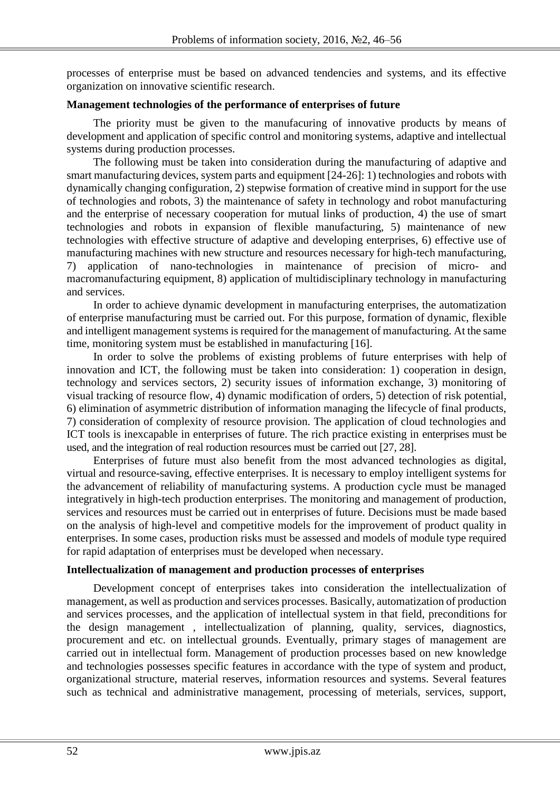processes of enterprise must be based on advanced tendencies and systems, and its effective organization on innovative scientific research.

### **Management technologies of the performance of enterprises of future**

The priority must be given to the manufacuring of innovative products by means of development and application of specific control and monitoring systems, adaptive and intellectual systems during production processes.

The following must be taken into consideration during the manufacturing of adaptive and smart manufacturing devices, system parts and equipment [24-26]: 1) technologies and robots with dynamically changing configuration, 2) stepwise formation of creative mind in support for the use of technologies and robots, 3) the maintenance of safety in technology and robot manufacturing and the enterprise of necessary cooperation for mutual links of production, 4) the use of smart technologies and robots in expansion of flexible manufacturing, 5) maintenance of new technologies with effective structure of adaptive and developing enterprises, 6) effective use of manufacturing machines with new structure and resources necessary for high-tech manufacturing, 7) application of nano-technologies in maintenance of precision of micro- and macromanufacturing equipment, 8) application of multidisciplinary technology in manufacturing and services.

In order to achieve dynamic development in manufacturing enterprises, the automatization of enterprise manufacturing must be carried out. For this purpose, formation of dynamic, flexible and intelligent management systems is required for the management of manufacturing. At the same time, monitoring system must be established in manufacturing [16].

In order to solve the problems of existing problems of future enterprises with help of innovation and ICT, the following must be taken into consideration: 1) cooperation in design, technology and services sectors, 2) security issues of information exchange, 3) monitoring of visual tracking of resource flow, 4) dynamic modification of orders, 5) detection of risk potential, 6) elimination of asymmetric distribution of information managing the lifecycle of final products, 7) consideration of complexity of resource provision. The application of cloud technologies and ICT tools is inexcapable in enterprises of future. The rich practice existing in enterprises must be used, and the integration of real roduction resources must be carried out [27, 28].

Enterprises of future must also benefit from the most advanced technologies as digital, virtual and resource-saving, effective enterprises. It is necessary to employ intelligent systems for the advancement of reliability of manufacturing systems. A production cycle must be managed integratively in high-tech production enterprises. The monitoring and management of production, services and resources must be carried out in enterprises of future. Decisions must be made based on the analysis of high-level and competitive models for the improvement of product quality in enterprises. In some cases, production risks must be assessed and models of module type required for rapid adaptation of enterprises must be developed when necessary.

## **Intellectualization of management and production processes of enterprises**

Development concept of enterprises takes into consideration the intellectualization of management, as well as production and services processes. Basically, automatization of production and services processes, and the application of intellectual system in that field, preconditions for the design management , intellectualization of planning, quality, services, diagnostics, procurement and etc. on intellectual grounds. Eventually, primary stages of management are carried out in intellectual form. Management of production processes based on new knowledge and technologies possesses specific features in accordance with the type of system and product, organizational structure, material reserves, information resources and systems. Several features such as technical and administrative management, processing of meterials, services, support,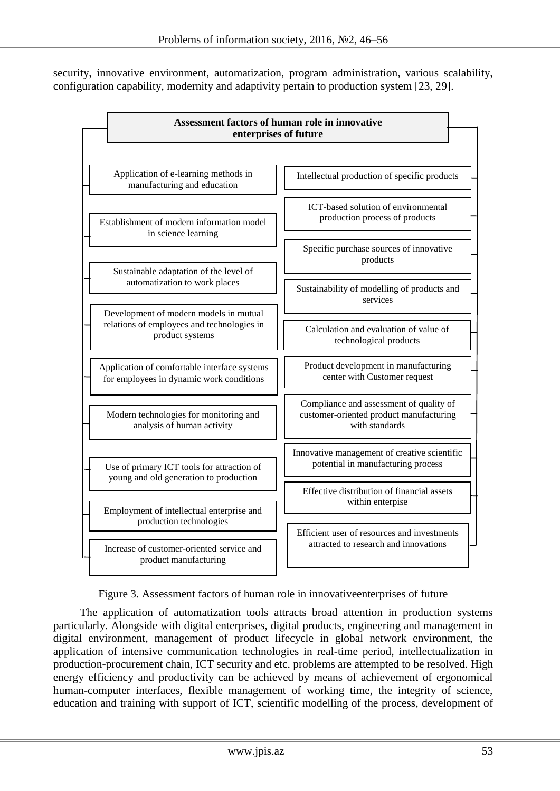security, innovative environment, automatization, program administration, various scalability, configuration capability, modernity and adaptivity pertain to production system [23, 29].

| Assessment factors of human role in innovative<br>enterprises of future                                 |                                                                                                      |
|---------------------------------------------------------------------------------------------------------|------------------------------------------------------------------------------------------------------|
| Application of e-learning methods in<br>manufacturing and education                                     | Intellectual production of specific products                                                         |
| Establishment of modern information model<br>in science learning                                        | ICT-based solution of environmental<br>production process of products                                |
| Sustainable adaptation of the level of                                                                  | Specific purchase sources of innovative<br>products                                                  |
| automatization to work places                                                                           | Sustainability of modelling of products and<br>services                                              |
| Development of modern models in mutual<br>relations of employees and technologies in<br>product systems | Calculation and evaluation of value of<br>technological products                                     |
| Application of comfortable interface systems<br>for employees in dynamic work conditions                | Product development in manufacturing<br>center with Customer request                                 |
| Modern technologies for monitoring and<br>analysis of human activity                                    | Compliance and assessment of quality of<br>customer-oriented product manufacturing<br>with standards |
| Use of primary ICT tools for attraction of<br>young and old generation to production                    | Innovative management of creative scientific<br>potential in manufacturing process                   |
| Employment of intellectual enterprise and<br>production technologies                                    | Effective distribution of financial assets<br>within enterpise                                       |
| Increase of customer-oriented service and<br>product manufacturing                                      | Efficient user of resources and investments<br>attracted to research and innovations                 |

Figure 3. Assessment factors of human role in innovativeenterprises of future

The application of automatization tools attracts broad attention in production systems particularly. Alongside with digital enterprises, digital products, engineering and management in digital environment, management of product lifecycle in global network environment, the application of intensive communication technologies in real-time period, intellectualization in production-procurement chain, ICT security and etc. problems are attempted to be resolved. High energy efficiency and productivity can be achieved by means of achievement of ergonomical human-computer interfaces, flexible management of working time, the integrity of science, education and training with support of ICT, scientific modelling of the process, development of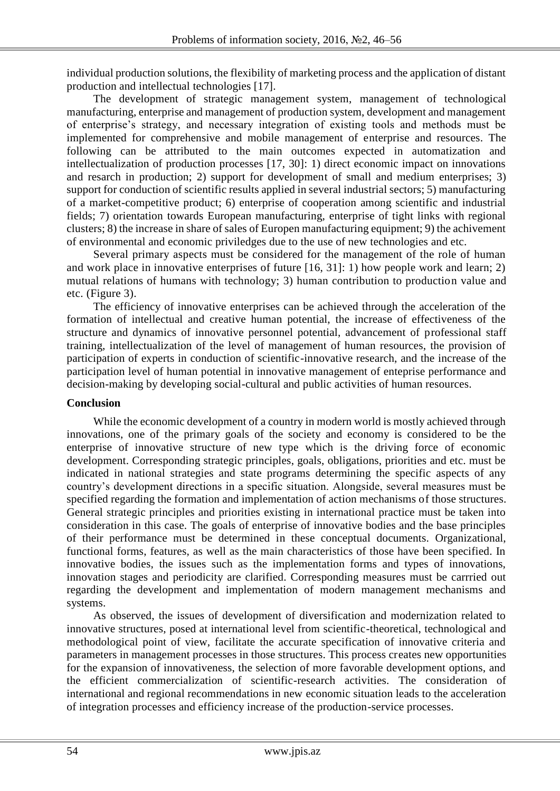individual production solutions, the flexibility of marketing process and the application of distant production and intellectual technologies [17].

The development of strategic management system, management of technological manufacturing, enterprise and management of production system, development and management of enterprise's strategy, and necessary integration of existing tools and methods must be implemented for comprehensive and mobile management of enterprise and resources. The following can be attributed to the main outcomes expected in automatization and intellectualization of production processes [17, 30]: 1) direct economic impact on innovations and resarch in production; 2) support for development of small and medium enterprises; 3) support for conduction of scientific results applied in several industrial sectors; 5) manufacturing of a market-competitive product; 6) enterprise of cooperation among scientific and industrial fields; 7) orientation towards European manufacturing, enterprise of tight links with regional clusters; 8) the increase in share of sales of Europen manufacturing equipment; 9) the achivement of environmental and economic priviledges due to the use of new technologies and etc.

Several primary aspects must be considered for the management of the role of human and work place in innovative enterprises of future [16, 31]: 1) how people work and learn; 2) mutual relations of humans with technology; 3) human contribution to production value and etc. (Figure 3).

The efficiency of innovative enterprises can be achieved through the acceleration of the formation of intellectual and creative human potential, the increase of effectiveness of the structure and dynamics of innovative personnel potential, advancement of professional staff training, intellectualization of the level of management of human resources, the provision of participation of experts in conduction of scientific-innovative research, and the increase of the participation level of human potential in innovative management of enteprise performance and decision-making by developing social-cultural and public activities of human resources.

## **Conclusion**

While the economic development of a country in modern world is mostly achieved through innovations, one of the primary goals of the society and economy is considered to be the enterprise of innovative structure of new type which is the driving force of economic development. Corresponding strategic principles, goals, obligations, priorities and etc. must be indicated in national strategies and state programs determining the specific aspects of any country's development directions in a specific situation. Alongside, several measures must be specified regarding the formation and implementation of action mechanisms of those structures. General strategic principles and priorities existing in international practice must be taken into consideration in this case. The goals of enterprise of innovative bodies and the base principles of their performance must be determined in these conceptual documents. Organizational, functional forms, features, as well as the main characteristics of those have been specified. In innovative bodies, the issues such as the implementation forms and types of innovations, innovation stages and periodicity are clarified. Corresponding measures must be carrried out regarding the development and implementation of modern management mechanisms and systems.

As observed, the issues of development of diversification and modernization related to innovative structures, posed at international level from scientific-theoretical, technological and methodological point of view, facilitate the accurate specification of innovative criteria and parameters in management processes in those structures. This process creates new opportunities for the expansion of innovativeness, the selection of more favorable development options, and the efficient commercialization of scientific-research activities. The consideration of international and regional recommendations in new economic situation leads to the acceleration of integration processes and efficiency increase of the production-service processes.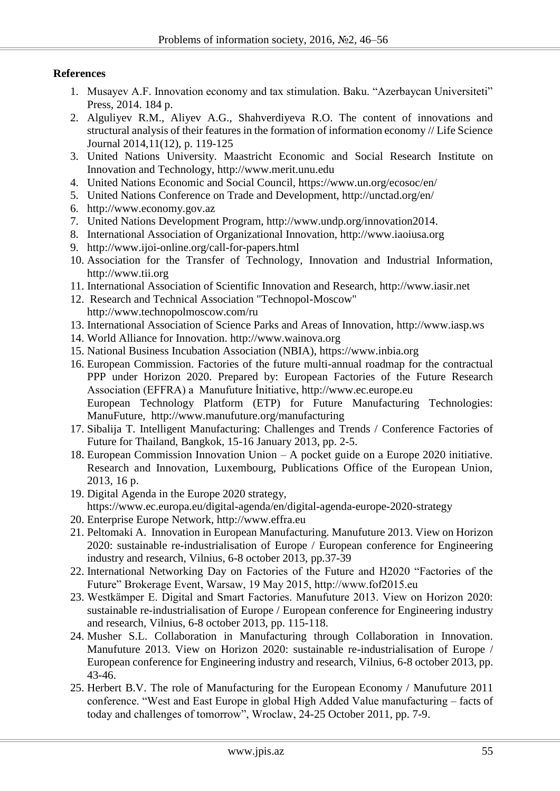# **References**

- 1. Musayev A.F. Innovation economy and tax stimulation. Baku. "Azerbaycan Universiteti" Press, 2014. 184 p.
- 2. Alguliyev R.M., Aliyev A.G., Shahverdiyeva R.O. The content of innovations and structural analysis of their features in the formation of information economy // Life Science Journal 2014,11(12), p. 119-125
- 3. United Nations University. Maastricht Economic and Social Research Institute on Innovation and Technology, http://www.merit.unu.edu
- 4. United Nations Economic and Social Council, https://www.un.org/ecosoc/en/
- 5. United Nations Conference on Trade and Development, http://unctad.org/en/
- 6. http://www.economy.gov.az
- 7. United Nations Development Program, http://www.undp.org/innovation2014.
- 8. International Association of Organizational Innovation, http://www.iaoiusa.org
- 9. <http://www.ijoi-online.org/call-for-papers.html>
- 10. Association for the Transfer of Technology, Innovation and Industrial Information, http://www.tii.org
- 11. International Association of Scientific Innovation and Research, http://www.iasir.net
- 12. Research and Technical Association "Technopol-Moscow" http://www.technopolmoscow.com/ru
- 13. International Association of Science Parks and Areas of Innovation, http://www.iasp.ws
- 14. World Alliance for Innovation. http://www.wainova.org
- 15. National Business Incubation Association (NBIA), https://www.inbia.org
- 16. European Commission. Factories of the future multi-annual roadmap for the contractual PPP under Horizon 2020. Prepared by: European Factories of the Future Research Association (EFFRA) a Manufuture İnitiative, http://www.ec.europe.eu European Technology Platform (ETP) for Future Manufacturing Technologies: ManuFuture, http://www.manufuture.org/manufacturing
- 17. Sibalija T. Intelligent Manufacturing: Challenges and Trends / Conference Factories of Future for Thailand, Bangkok, 15-16 January 2013, pp. 2-5.
- 18. European Commission Innovation Union A pocket guide on a Europe 2020 initiative. Research and Innovation, Luxembourg, Publications Office of the European Union, 2013, 16 p.
- 19. Digital Agenda in the Europe 2020 strategy, <https://www.ec.europa.eu/digital-agenda/en/digital-agenda-europe-2020-strategy>
- 20. [Enterprise](http://een.ec.europa.eu/) Europe Network, http://www.effra.eu
- 21. Peltomaki A. Innovation in European Manufacturing. Manufuture 2013. View on Horizon 2020: sustainable re-industrialisation of Europe / European conference for Engineering industry and research, Vilnius, 6-8 october 2013, pp.37-39
- 22. International Networking Day on Factories of the Future and H2020 "Factories of the Future" Brokerage Event, Warsaw, 19 May 2015, http://www.fof2015.eu
- 23. Westkämper E. Digital and Smart Factories. Manufuture 2013. View on Horizon 2020: sustainable re-industrialisation of Europe / European conference for Engineering industry and research, Vilnius, 6-8 october 2013, pp. 115-118.
- 24. Musher S.L. Collaboration in Manufacturing through Collaboration in Innovation. Manufuture 2013. View on Horizon 2020: sustainable re-industrialisation of Europe / European conference for Engineering industry and research, Vilnius, 6-8 october 2013, pp. 43-46.
- 25. Herbert B.V. The role of Manufacturing for the European Economy / Manufuture 2011 conference. "West and East Europe in global High Added Value manufacturing – facts of today and challenges of tomorrow", Wroclaw, 24-25 October 2011, pp. 7-9.